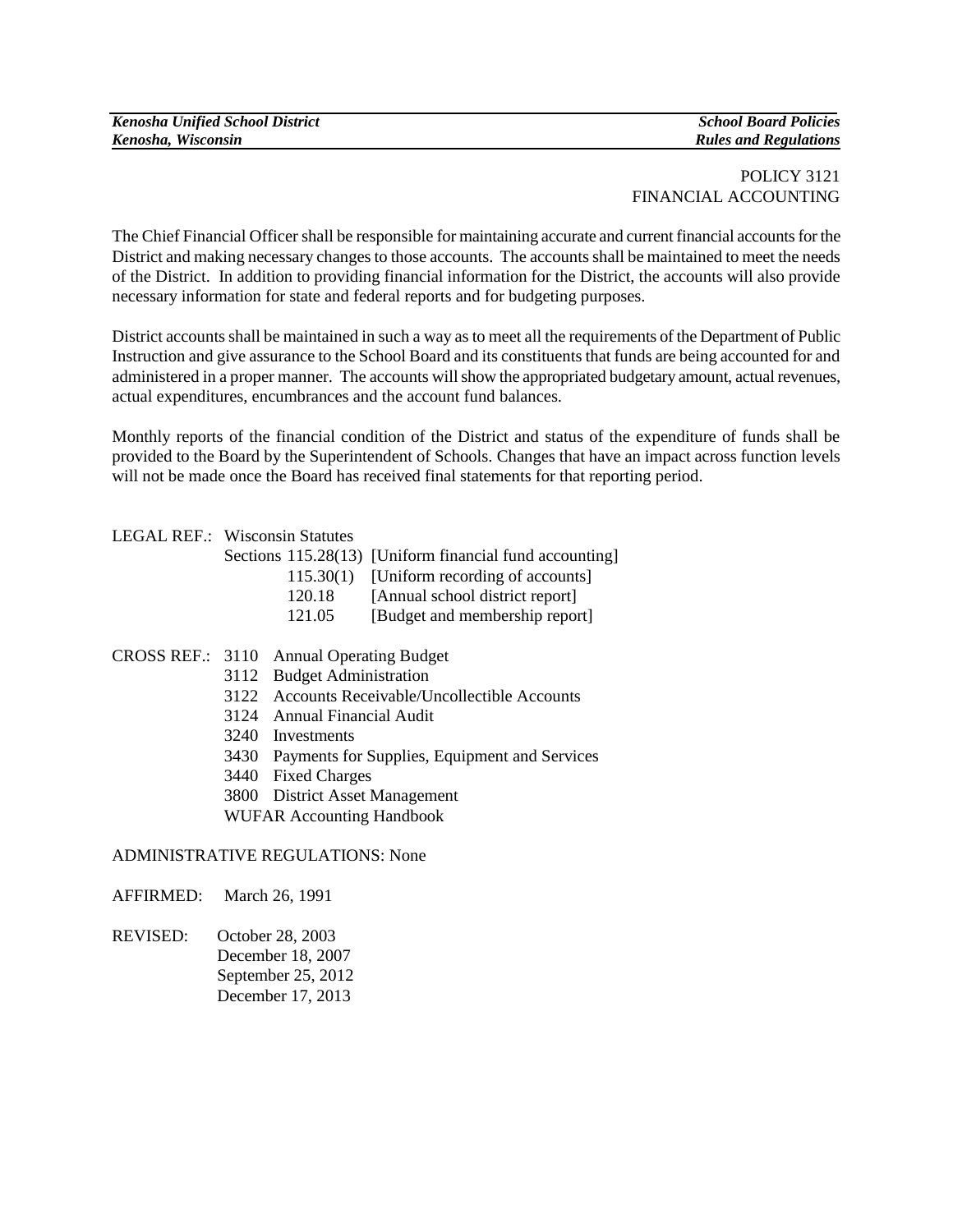# POLICY 3121 FINANCIAL ACCOUNTING

The Chief Financial Officer shall be responsible for maintaining accurate and current financial accounts for the District and making necessary changes to those accounts. The accounts shall be maintained to meet the needs of the District. In addition to providing financial information for the District, the accounts will also provide necessary information for state and federal reports and for budgeting purposes.

District accounts shall be maintained in such a way as to meet all the requirements of the Department of Public Instruction and give assurance to the School Board and its constituents that funds are being accounted for and administered in a proper manner.The accounts will show the appropriated budgetary amount, actual revenues, actual expenditures, encumbrances and the account fund balances.

Monthly reports of the financial condition of the District and status of the expenditure of funds shall be provided to the Board by the Superintendent of Schools. Changes that have an impact across function levels will not be made once the Board has received final statements for that reporting period.

### LEGAL REF.: Wisconsin Statutes

| Sections 115.28(13) [Uniform financial fund accounting] |
|---------------------------------------------------------|
| 115.30(1) [Uniform recording of accounts]               |
| [Annual school district report]                         |
| [Budget and membership report]                          |
|                                                         |

### CROSS REF.: 3110 Annual Operating Budget

- 3112 Budget Administration
- 3122 Accounts Receivable/Uncollectible Accounts
- 3124 Annual Financial Audit
- 3240 Investments
- 3430 Payments for Supplies, Equipment and Services
- 3440 Fixed Charges
- 3800 District Asset Management

WUFAR Accounting Handbook

## ADMINISTRATIVE REGULATIONS: None

AFFIRMED: March 26, 1991

REVISED: October 28, 2003 December 18, 2007 September 25, 2012 December 17, 2013